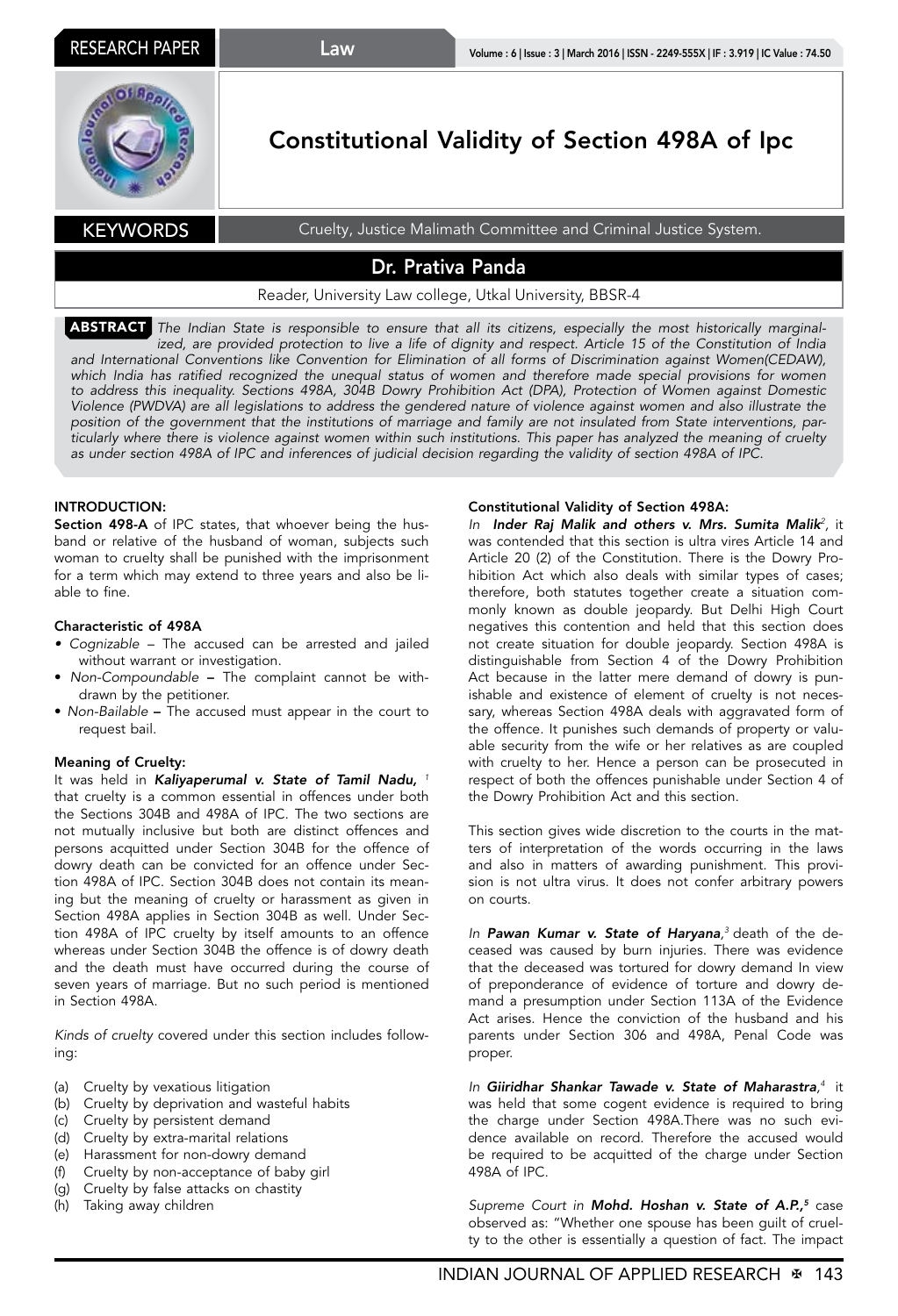## Law



# Constitutional Validity of Section 498A of Ipc

KEYWORDS Cruelty, Justice Malimath Committee and Criminal Justice System.

## Dr. Prativa Panda

### Reader, University Law college, Utkal University, BBSR-4

ABSTRACT *The Indian State is responsible to ensure that all its citizens, especially the most historically marginalized, are provided protection to live a life of dignity and respect. Article 15 of the Constitution of India*  and International Conventions like Convention for Elimination of all forms of Discrimination against Women(CEDAW), which India has ratified recognized the unequal status of women and therefore made special provisions for women *to address this inequality. Sections 498A, 304B Dowry Prohibition Act (DPA), Protection of Women against Domestic Violence (PWDVA) are all legislations to address the gendered nature of violence against women and also illustrate the position of the government that the institutions of marriage and family are not insulated from State interventions, particularly where there is violence against women within such institutions. This paper has analyzed the meaning of cruelty as under section 498A of IPC and inferences of judicial decision regarding the validity of section 498A of IPC.*

#### INTRODUCTION:

Section 498-A of IPC states, that whoever being the husband or relative of the husband of woman, subjects such woman to cruelty shall be punished with the imprisonment for a term which may extend to three years and also be liable to fine.

#### Characteristic of 498A

- Cognizable The accused can be arrested and jailed without warrant or investigation.
- *Non-Compoundable* The complaint cannot be withdrawn by the petitioner.
- *Non-Bailable* The accused must appear in the court to request bail.

#### Meaning of Cruelty:

It was held in *Kaliyaperumal v. State of Tamil Nadu, <sup>1</sup>* that cruelty is a common essential in offences under both the Sections 304B and 498A of IPC. The two sections are not mutually inclusive but both are distinct offences and persons acquitted under Section 304B for the offence of dowry death can be convicted for an offence under Section 498A of IPC. Section 304B does not contain its meaning but the meaning of cruelty or harassment as given in Section 498A applies in Section 304B as well. Under Section 498A of IPC cruelty by itself amounts to an offence whereas under Section 304B the offence is of dowry death and the death must have occurred during the course of seven years of marriage. But no such period is mentioned in Section 498A.

*Kinds of cruelty* covered under this section includes following:

- (a) Cruelty by vexatious litigation
- (b) Cruelty by deprivation and wasteful habits
- (c) Cruelty by persistent demand
- (d) Cruelty by extra-marital relations
- (e) Harassment for non-dowry demand
- (f) Cruelty by non-acceptance of baby girl
- (g) Cruelty by false attacks on chastity
- (h) Taking away children

#### Constitutional Validity of Section 498A:

*In Inder Raj Malik and others v. Mrs. Sumita Malik<sup>2</sup> ,* it was contended that this section is ultra vires Article 14 and Article 20 (2) of the Constitution. There is the Dowry Prohibition Act which also deals with similar types of cases; therefore, both statutes together create a situation commonly known as double jeopardy. But Delhi High Court negatives this contention and held that this section does not create situation for double jeopardy. Section 498A is distinguishable from Section 4 of the Dowry Prohibition Act because in the latter mere demand of dowry is punishable and existence of element of cruelty is not necessary, whereas Section 498A deals with aggravated form of the offence. It punishes such demands of property or valuable security from the wife or her relatives as are coupled with cruelty to her. Hence a person can be prosecuted in respect of both the offences punishable under Section 4 of the Dowry Prohibition Act and this section.

This section gives wide discretion to the courts in the matters of interpretation of the words occurring in the laws and also in matters of awarding punishment. This provision is not ultra virus. It does not confer arbitrary powers on courts.

*In Pawan Kumar v. State of Haryana, <sup>3</sup>* death of the deceased was caused by burn injuries. There was evidence that the deceased was tortured for dowry demand In view of preponderance of evidence of torture and dowry demand a presumption under Section 113A of the Evidence Act arises. Hence the conviction of the husband and his parents under Section 306 and 498A, Penal Code was proper.

*In Giiridhar Shankar Tawade v. State of Maharastra, <sup>4</sup>* it was held that some cogent evidence is required to bring the charge under Section 498A.There was no such evidence available on record. Therefore the accused would be required to be acquitted of the charge under Section 498A of IPC.

*Supreme Court in Mohd. Hoshan v. State of A.P.,5* case observed as: "Whether one spouse has been guilt of cruelty to the other is essentially a question of fact. The impact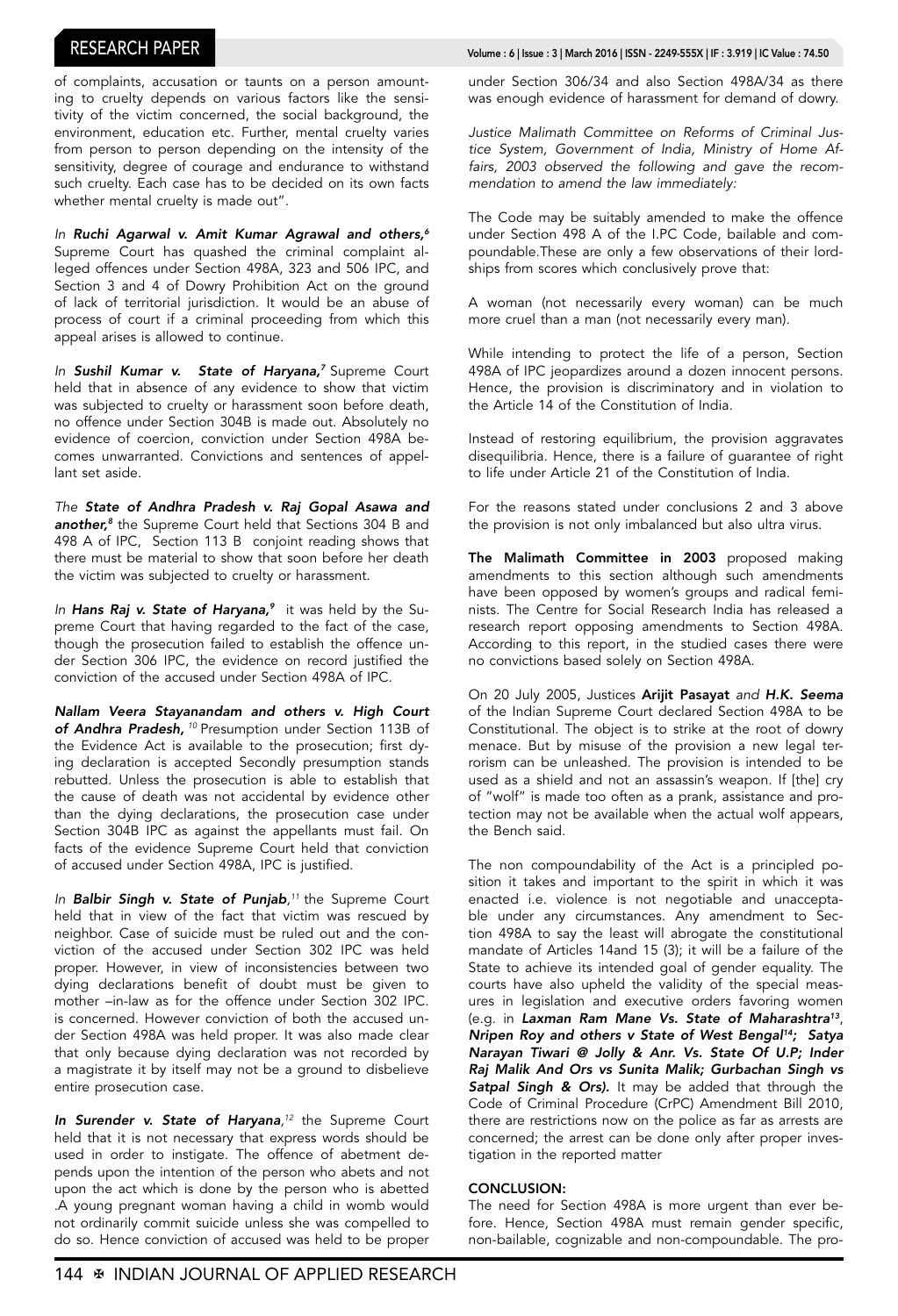of complaints, accusation or taunts on a person amounting to cruelty depends on various factors like the sensitivity of the victim concerned, the social background, the environment, education etc. Further, mental cruelty varies from person to person depending on the intensity of the sensitivity, degree of courage and endurance to withstand such cruelty. Each case has to be decided on its own facts whether mental cruelty is made out".

*In Ruchi Agarwal v. Amit Kumar Agrawal and others,6* Supreme Court has quashed the criminal complaint alleged offences under Section 498A, 323 and 506 IPC, and Section 3 and 4 of Dowry Prohibition Act on the ground of lack of territorial jurisdiction. It would be an abuse of process of court if a criminal proceeding from which this appeal arises is allowed to continue.

*In Sushil Kumar v. State of Haryana,7* Supreme Court held that in absence of any evidence to show that victim was subjected to cruelty or harassment soon before death, no offence under Section 304B is made out. Absolutely no evidence of coercion, conviction under Section 498A becomes unwarranted. Convictions and sentences of appellant set aside.

*The State of Andhra Pradesh v. Raj Gopal Asawa and another,8* the Supreme Court held that Sections 304 B and 498 A of IPC, Section 113 B conjoint reading shows that there must be material to show that soon before her death the victim was subjected to cruelty or harassment.

In Hans Raj v. State of Haryana,<sup>9</sup> it was held by the Supreme Court that having regarded to the fact of the case, though the prosecution failed to establish the offence under Section 306 IPC, the evidence on record justified the conviction of the accused under Section 498A of IPC.

*Nallam Veera Stayanandam and others v. High Court of Andhra Pradesh,<sup>10</sup>* Presumption under Section 113B of the Evidence Act is available to the prosecution; first dying declaration is accepted Secondly presumption stands rebutted. Unless the prosecution is able to establish that the cause of death was not accidental by evidence other than the dying declarations, the prosecution case under Section 304B IPC as against the appellants must fail. On facts of the evidence Supreme Court held that conviction of accused under Section 498A, IPC is justified.

*In Balbir Singh v. State of Punjab, <sup>11</sup>* the Supreme Court held that in view of the fact that victim was rescued by neighbor. Case of suicide must be ruled out and the conviction of the accused under Section 302 IPC was held proper. However, in view of inconsistencies between two dying declarations benefit of doubt must be given to mother –in-law as for the offence under Section 302 IPC. is concerned. However conviction of both the accused under Section 498A was held proper. It was also made clear that only because dying declaration was not recorded by a magistrate it by itself may not be a ground to disbelieve entire prosecution case.

**In Surender v. State of Haryana**<sup>12</sup> the Supreme Court held that it is not necessary that express words should be used in order to instigate. The offence of abetment depends upon the intention of the person who abets and not upon the act which is done by the person who is abetted .A young pregnant woman having a child in womb would not ordinarily commit suicide unless she was compelled to do so. Hence conviction of accused was held to be proper

## RESEARCH PAPER Volume : 6 | Issue : 3 | March 2016 | ISSN - 2249-555X | IF : 3.919 | IC Value : 74.50

under Section 306/34 and also Section 498A/34 as there was enough evidence of harassment for demand of dowry.

*Justice Malimath Committee on Reforms of Criminal Justice System, Government of India, Ministry of Home Affairs, 2003 observed the following and gave the recommendation to amend the law immediately:*

The Code may be suitably amended to make the offence under Section 498 A of the I.PC Code, bailable and compoundable.These are only a few observations of their lordships from scores which conclusively prove that:

A woman (not necessarily every woman) can be much more cruel than a man (not necessarily every man).

While intending to protect the life of a person, Section 498A of IPC jeopardizes around a dozen innocent persons. Hence, the provision is discriminatory and in violation to the Article 14 of the Constitution of India.

Instead of restoring equilibrium, the provision aggravates disequilibria. Hence, there is a failure of guarantee of right to life under Article 21 of the Constitution of India.

For the reasons stated under conclusions 2 and 3 above the provision is not only imbalanced but also ultra virus.

The Malimath Committee in 2003 proposed making amendments to this section although such amendments have been opposed by women's groups and radical feminists. The Centre for Social Research India has released a research report opposing amendments to Section 498A. According to this report, in the studied cases there were no convictions based solely on Section 498A.

On 20 July 2005, Justices Arijit Pasayat *and H.K. Seema* of the Indian Supreme Court declared Section 498A to be Constitutional. The object is to strike at the root of dowry menace. But by misuse of the provision a new legal terrorism can be unleashed. The provision is intended to be used as a shield and not an assassin's weapon. If [the] cry of "wolf" is made too often as a prank, assistance and protection may not be available when the actual wolf appears, the Bench said.

The non compoundability of the Act is a principled position it takes and important to the spirit in which it was enacted i.e. violence is not negotiable and unacceptable under any circumstances. Any amendment to Section 498A to say the least will abrogate the constitutional mandate of Articles 14and 15 (3); it will be a failure of the State to achieve its intended goal of gender equality. The courts have also upheld the validity of the special measures in legislation and executive orders favoring women (e.g. in *Laxman Ram Mane Vs. State of Maharashtra13*, *Nripen Roy and others v State of West Bengal14; Satya Narayan Tiwari @ Jolly & Anr. Vs. State Of U.P; Inder Raj Malik And Ors vs Sunita Malik; Gurbachan Singh vs*  Satpal Singh & Ors). It may be added that through the Code of Criminal Procedure (CrPC) Amendment Bill 2010, there are restrictions now on the police as far as arrests are concerned; the arrest can be done only after proper investigation in the reported matter

### CONCLUSION:

The need for Section 498A is more urgent than ever before. Hence, Section 498A must remain gender specific, non-bailable, cognizable and non-compoundable. The pro